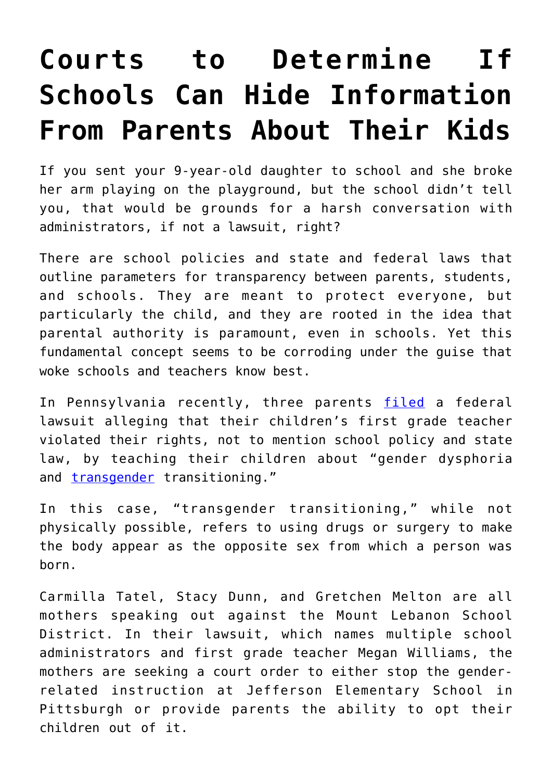## **[Courts to Determine If](https://intellectualtakeout.org/2022/06/courts-to-determine-if-schools-can-hide-information-from-parents-about-their-kids/) [Schools Can Hide Information](https://intellectualtakeout.org/2022/06/courts-to-determine-if-schools-can-hide-information-from-parents-about-their-kids/) [From Parents About Their Kids](https://intellectualtakeout.org/2022/06/courts-to-determine-if-schools-can-hide-information-from-parents-about-their-kids/)**

If you sent your 9-year-old daughter to school and she broke her arm playing on the playground, but the school didn't tell you, that would be grounds for a harsh conversation with administrators, if not a lawsuit, right?

There are school policies and state and federal laws that outline parameters for transparency between parents, students, and schools. They are meant to protect everyone, but particularly the child, and they are rooted in the idea that parental authority is paramount, even in schools. Yet this fundamental concept seems to be corroding under the guise that woke schools and teachers know best.

In Pennsylvania recently, three parents [filed](https://www.foxnews.com/us/mothers-file-lawsuit-transgender-school) a federal lawsuit alleging that their children's first grade teacher violated their rights, not to mention school policy and state law, by teaching their children about "gender dysphoria and **transgender** transitioning."

In this case, "transgender transitioning," while not physically possible, refers to using drugs or surgery to make the body appear as the opposite sex from which a person was born.

Carmilla Tatel, Stacy Dunn, and Gretchen Melton are all mothers speaking out against the Mount Lebanon School District. In their lawsuit, which names multiple school administrators and first grade teacher Megan Williams, the mothers are seeking a court order to either stop the genderrelated instruction at Jefferson Elementary School in Pittsburgh or provide parents the ability to opt their children out of it.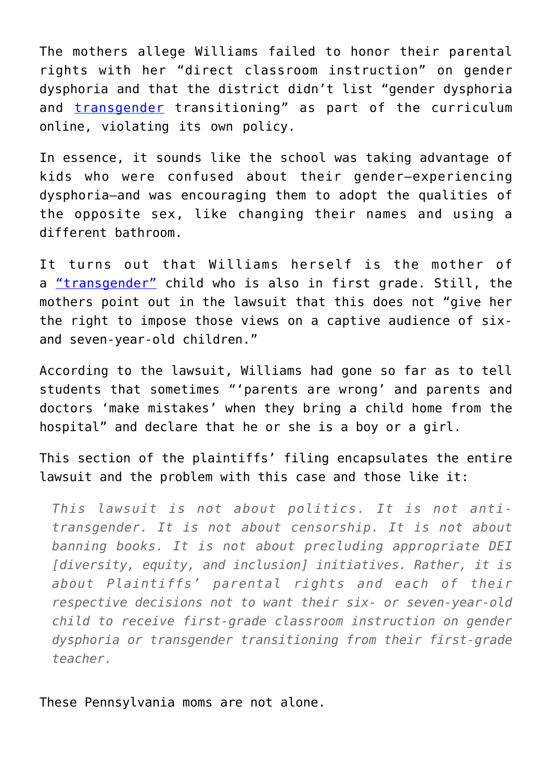The mothers allege Williams failed to honor their parental rights with her "direct classroom instruction" on gender dysphoria and that the district didn't list "gender dysphoria and [transgender](https://www.dailysignal.com/2021/03/10/3-examples-of-how-pervasive-transgender-ideology-has-become/) transitioning" as part of the curriculum online, violating its own policy.

In essence, it sounds like the school was taking advantage of kids who were confused about their gender—experiencing dysphoria—and was encouraging them to adopt the qualities of the opposite sex, like changing their names and using a different bathroom.

It turns out that Williams herself is the mother of a ["transgender"](https://www.dailysignal.com/2022/03/10/dark-reality-of-how-transgender-ideology-is-affecting-women-girls/) child who is also in first grade. Still, the mothers point out in the lawsuit that this does not "give her the right to impose those views on a captive audience of sixand seven-year-old children."

According to the lawsuit, Williams had gone so far as to tell students that sometimes "'parents are wrong' and parents and doctors 'make mistakes' when they bring a child home from the hospital" and declare that he or she is a boy or a girl.

This section of the plaintiffs' filing encapsulates the entire lawsuit and the problem with this case and those like it:

*This lawsuit is not about politics. It is not antitransgender. It is not about censorship. It is not about banning books. It is not about precluding appropriate DEI [diversity, equity, and inclusion] initiatives. Rather, it is about Plaintiffs' parental rights and each of their respective decisions not to want their six- or seven-year-old child to receive first-grade classroom instruction on gender dysphoria or transgender transitioning from their first-grade teacher.*

These Pennsylvania moms are not alone.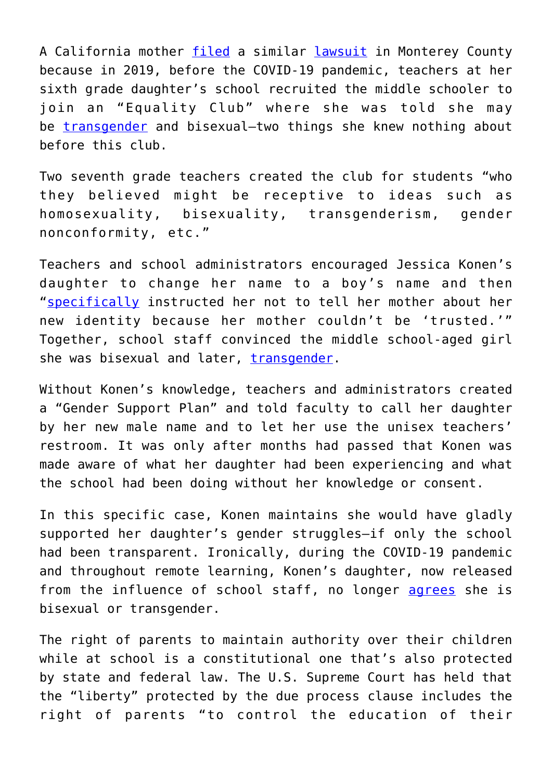A California mother [filed](https://libertycenter.org/cases/konen/) a similar [lawsuit](https://libertycenter.org/wp-content/uploads/2022/06/20220614_Konen_Complaint_HT_Final.pdf) in Monterey County because in 2019, before the COVID-19 pandemic, teachers at her sixth grade daughter's school recruited the middle schooler to join an "Equality Club" where she was told she may be [transgender](https://www.dailysignal.com/2021/12/13/what-ive-learned-rescuing-my-daughter-from-her-transgender-fantasy/) and bisexual-two things she knew nothing about before this club.

Two seventh grade teachers created the club for students "who they believed might be receptive to ideas such as homosexuality, bisexuality, transgenderism, gender nonconformity, etc."

Teachers and school administrators encouraged Jessica Konen's daughter to change her name to a boy's name and then "[specifically](https://libertycenter.org/wp-content/uploads/2022/06/20220614_Konen_Complaint_HT_Final.pdf) instructed her not to tell her mother about her new identity because her mother couldn't be 'trusted.'" Together, school staff convinced the middle school-aged girl she was bisexual and later, [transgender](https://www.dailysignal.com/2021/07/22/we-are-doctors-heres-the-truth-about-transgender-females-bodies-and-athleticism/).

Without Konen's knowledge, teachers and administrators created a "Gender Support Plan" and told faculty to call her daughter by her new male name and to let her use the unisex teachers' restroom. It was only after months had passed that Konen was made aware of what her daughter had been experiencing and what the school had been doing without her knowledge or consent.

In this specific case, Konen maintains she would have gladly supported her daughter's gender struggles—if only the school had been transparent. Ironically, during the COVID-19 pandemic and throughout remote learning, Konen's daughter, now released from the influence of school staff, no longer [agrees](https://vimeo.com/668366249?embedded=true&source=vimeo_logo&owner=100502590) she is bisexual or transgender.

The right of parents to maintain authority over their children while at school is a constitutional one that's also protected by state and federal law. The U.S. Supreme Court has held that the "liberty" protected by the due process clause includes the right of parents "to control the education of their